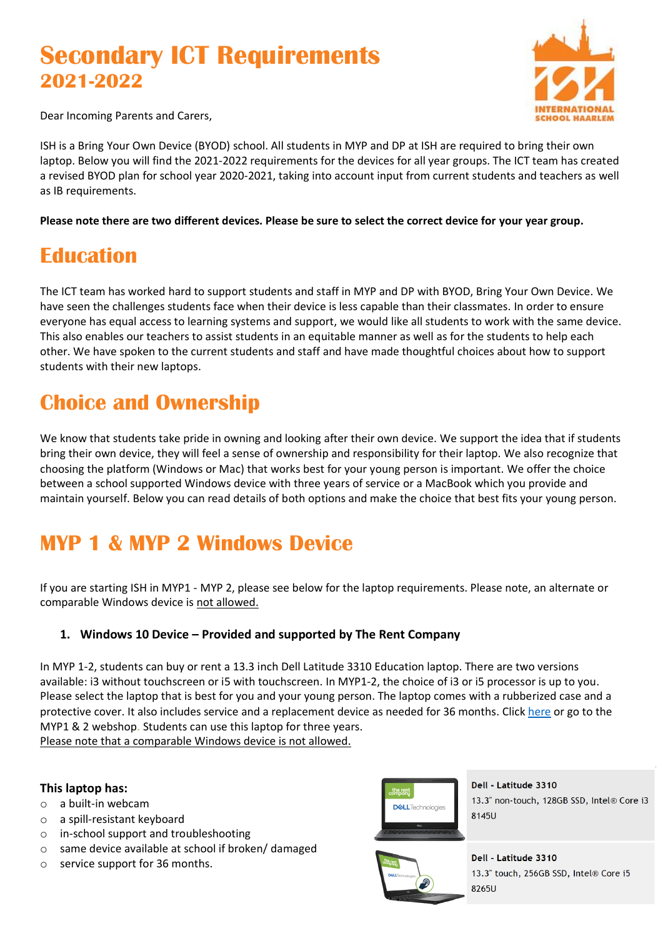# **Secondary ICT Requirements 2021-2022**



Dear Incoming Parents and Carers,

ISH is a Bring Your Own Device (BYOD) school. All students in MYP and DP at ISH are required to bring their own laptop. Below you will find the 2021-2022 requirements for the devices for all year groups. The ICT team has created a revised BYOD plan for school year 2020-2021, taking into account input from current students and teachers as well as IB requirements.

**Please note there are two different devices. Please be sure to select the correct device for your year group.**

### **Education**

The ICT team has worked hard to support students and staff in MYP and DP with BYOD, Bring Your Own Device. We have seen the challenges students face when their device is less capable than their classmates. In order to ensure everyone has equal access to learning systems and support, we would like all students to work with the same device. This also enables our teachers to assist students in an equitable manner as well as for the students to help each other. We have spoken to the current students and staff and have made thoughtful choices about how to support students with their new laptops.

## **Choice and Ownership**

We know that students take pride in owning and looking after their own device. We support the idea that if students bring their own device, they will feel a sense of ownership and responsibility for their laptop. We also recognize that choosing the platform (Windows or Mac) that works best for your young person is important. We offer the choice between a school supported Windows device with three years of service or a MacBook which you provide and maintain yourself. Below you can read details of both options and make the choice that best fits your young person.

# **MYP 1 & MYP 2 Windows Device**

If you are starting ISH in MYP1 - MYP 2, please see below for the laptop requirements. Please note, an alternate or comparable Windows device is not allowed.

#### <span id="page-0-0"></span>**1. Windows 10 Device – Provided and supported by The Rent Company**

In MYP 1-2, students can buy or rent a 13.3 inch Dell Latitude 3310 Education laptop. There are two versions available: i3 without touchscreen or i5 with touchscreen. In MYP1-2, the choice of i3 or i5 processor is up to you. Please select the laptop that is best for you and your young person. The laptop comes with a rubberized case and a protective cover. It also includes service and a replacement device as needed for 36 months. Click [here](https://easy4u.nl/en_nl/info/?code=Z74MFWX) or go to the MYP1 & 2 webshop. Students can use this laptop for three years.

Please note that a comparable Windows device is not allowed.

#### **This laptop has:**

- o a built-in webcam
- o a spill-resistant keyboard
- o in-school support and troubleshooting
- o same device available at school if broken/ damaged
- o service support for 36 months.



Dell - Latitude 3310 13.3" non-touch, 128GB SSD, Intel® Core i3 8145U



Dell - Latitude 3310 13.3" touch, 256GB SSD, Intel® Core i5 8265U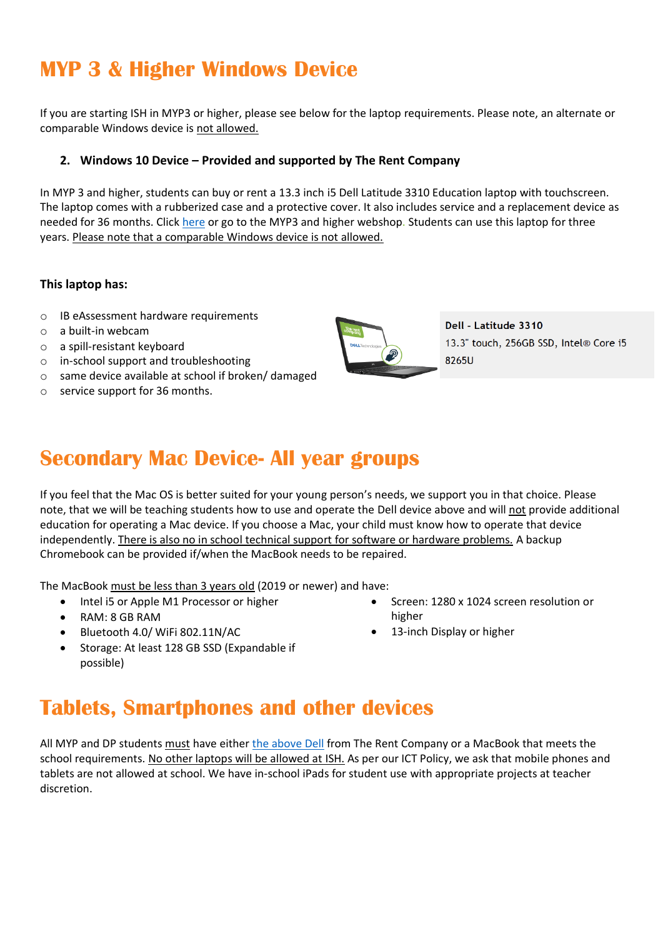## **MYP 3 & Higher Windows Device**

If you are starting ISH in MYP3 or higher, please see below for the laptop requirements. Please note, an alternate or comparable Windows device is not allowed.

#### **2. Windows 10 Device – Provided and supported by The Rent Company**

In MYP 3 and higher, students can buy or rent a 13.3 inch i5 Dell Latitude 3310 Education laptop with touchscreen. The laptop comes with a rubberized case and a protective cover. It also includes service and a replacement device as needed for 36 months. Click [here](https://easy4u.nl/en_nl/info/?code=6SFMPK8) or go to the MYP3 and higher webshop. Students can use this laptop for three years. Please note that a comparable Windows device is not allowed.

#### **This laptop has:**

- o IB eAssessment hardware requirements
- o a built-in webcam
- o a spill-resistant keyboard
- o in-school support and troubleshooting
- o same device available at school if broken/ damaged
- o service support for 36 months.



Dell - Latitude 3310 13.3" touch, 256GB SSD, Intel® Core i5 8265U

### **Secondary Mac Device- All year groups**

If you feel that the Mac OS is better suited for your young person's needs, we support you in that choice. Please note, that we will be teaching students how to use and operate the Dell device above and will not provide additional education for operating a Mac device. If you choose a Mac, your child must know how to operate that device independently. There is also no in school technical support for software or hardware problems. A backup Chromebook can be provided if/when the MacBook needs to be repaired.

The MacBook must be less than 3 years old (2019 or newer) and have:

- Intel i5 or Apple M1 Processor or higher
- RAM: 8 GB RAM
- Bluetooth 4.0/ WiFi 802.11N/AC
- Storage: At least 128 GB SSD (Expandable if possible)

## **Tablets, Smartphones and other devices**

All MYP and DP students must have eithe[r the above Dell](#page-0-0) from The Rent Company or a MacBook that meets the school requirements. No other laptops will be allowed at ISH. As per our ICT Policy, we ask that mobile phones and tablets are not allowed at school. We have in-school iPads for student use with appropriate projects at teacher discretion.

- Screen: 1280 x 1024 screen resolution or higher
- 13-inch Display or higher